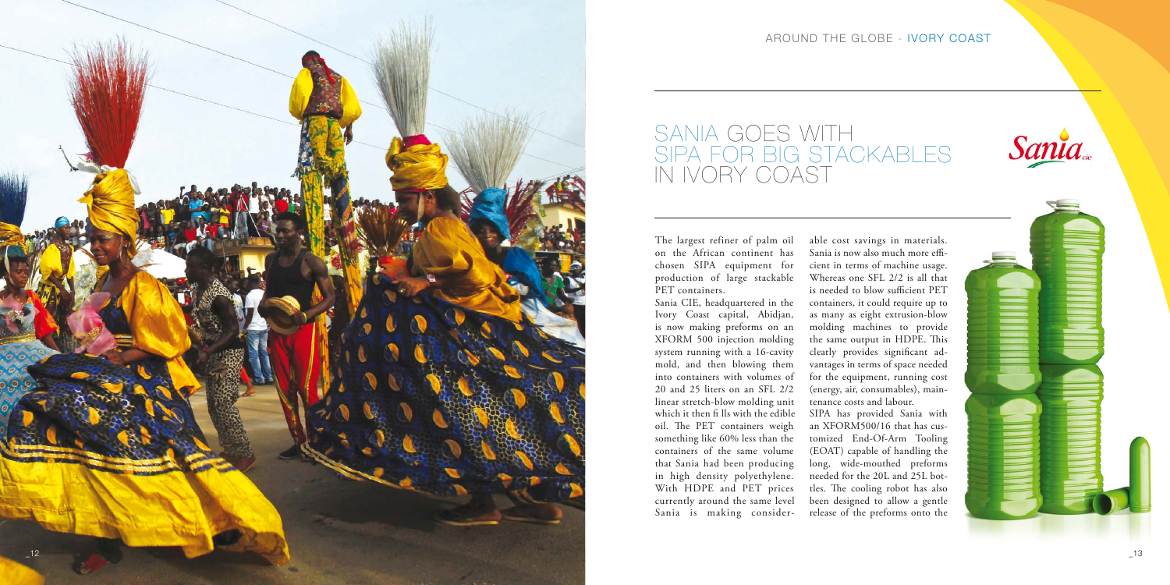

## SANIA GOES WITH SIPA FOR BIG STACKABLES IN IVORY COAST

## AROUND THE GLOBE - IVORY COAST



The largest refiner of palm oil on the African continent has chosen SIPA equipment for production of large stackable PET containers.

Sania CIE, headquartered in the Ivory Coast capital, Abidjan, is now making preforms on an XFORM 500 injection molding system running with a 16-cavity mold, and then blowing them into containers with volumes of 20 and 25 liters on an SFL 2/2 linear stretch-blow molding unit which it then fi lls with the edible oil. The PET containers weigh something like 60% less than the containers of the same volume that Sania had been producing in high density polyethylene. With HDPE and PET prices currently around the same level Sania is making consider-

able cost savings in materials. Sania is now also much more efficient in terms of machine usage. Whereas one SFL 2/2 is all that is needed to blow sufficient PET containers, it could require up to as many as eight extrusion-blow molding machines to provide the same output in HDPE. This clearly provides significant advantages in terms of space needed for the equipment, running cost (energy, air, consumables), maintenance costs and labour.

SIPA has provided Sania with an XFORM500/16 that has cus-

tomized End-Of-Arm Tooling (EOAT) capable of handling the long, wide-mouthed preforms needed for the 20L and 25L bottles. The cooling robot has also been designed to allow a gentle release of the preforms onto the